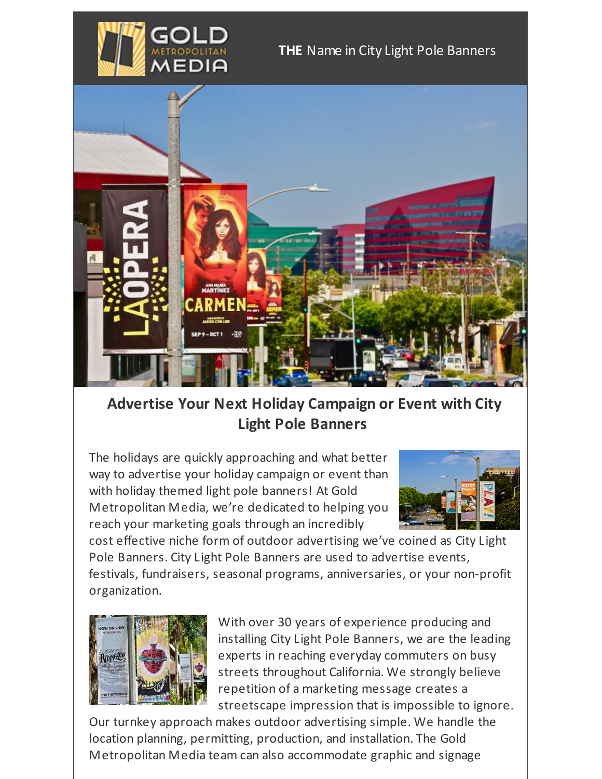



## **Advertise Your Next Holiday Campaign or Event with City Light Pole Banners**

The holidays are quickly approaching and what better way to advertise your holiday campaign or event than with holiday themed light pole banners! At Gold Metropolitan Media, we're dedicated to helping you reach your marketing goals through an incredibly



cost effective niche form of outdoor advertising we've coined as City Light Pole Banners. City Light Pole Banners are used to advertise events, festivals, fundraisers, seasonal programs, anniversaries, or your non-profit organization.



With over 30 years of experience producing and installing City Light Pole Banners, we are the leading experts in reaching everyday commuters on busy streets throughout California. We strongly believe repetition of a marketing message creates a streetscape impression that is impossible to ignore.

Our turnkey approach makes outdoor advertising simple. We handle the location planning, permitting, production, and installation. The Gold Metropolitan Media team can also accommodate graphic and signage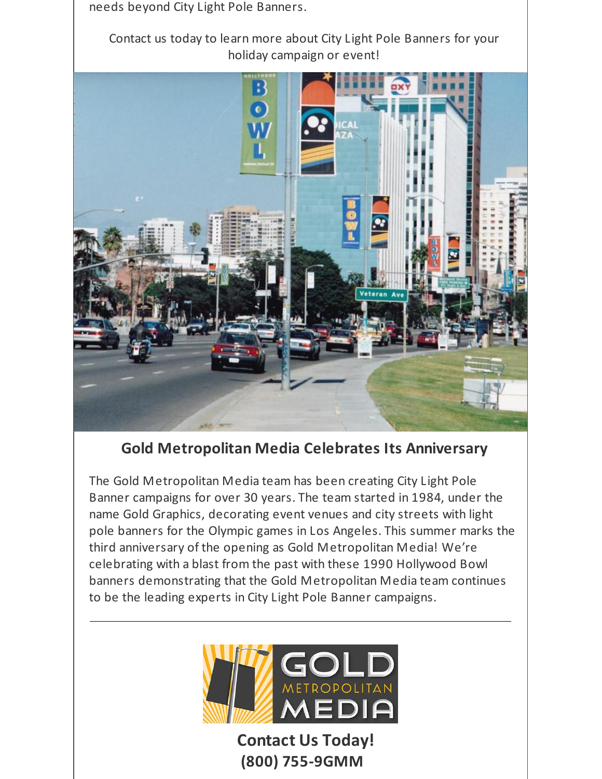needs beyond City Light Pole Banners.

Contact us today to learn more about City Light Pole Banners for your holiday campaign or event!



## **Gold Metropolitan Media Celebrates Its Anniversary**

The Gold Metropolitan Media team has been creating City Light Pole Banner campaigns for over 30 years. The team started in 1984, under the name Gold Graphics, decorating event venues and city streets with light pole banners for the Olympic games in Los Angeles. This summer marks the third anniversary of the opening as Gold Metropolitan Media! We're celebrating with a blast from the past with these 1990 Hollywood Bowl banners demonstrating that the Gold Metropolitan Media team continues to be the leading experts in City Light Pole Banner campaigns.



**Contact Us Today! (800) 755-9GMM**